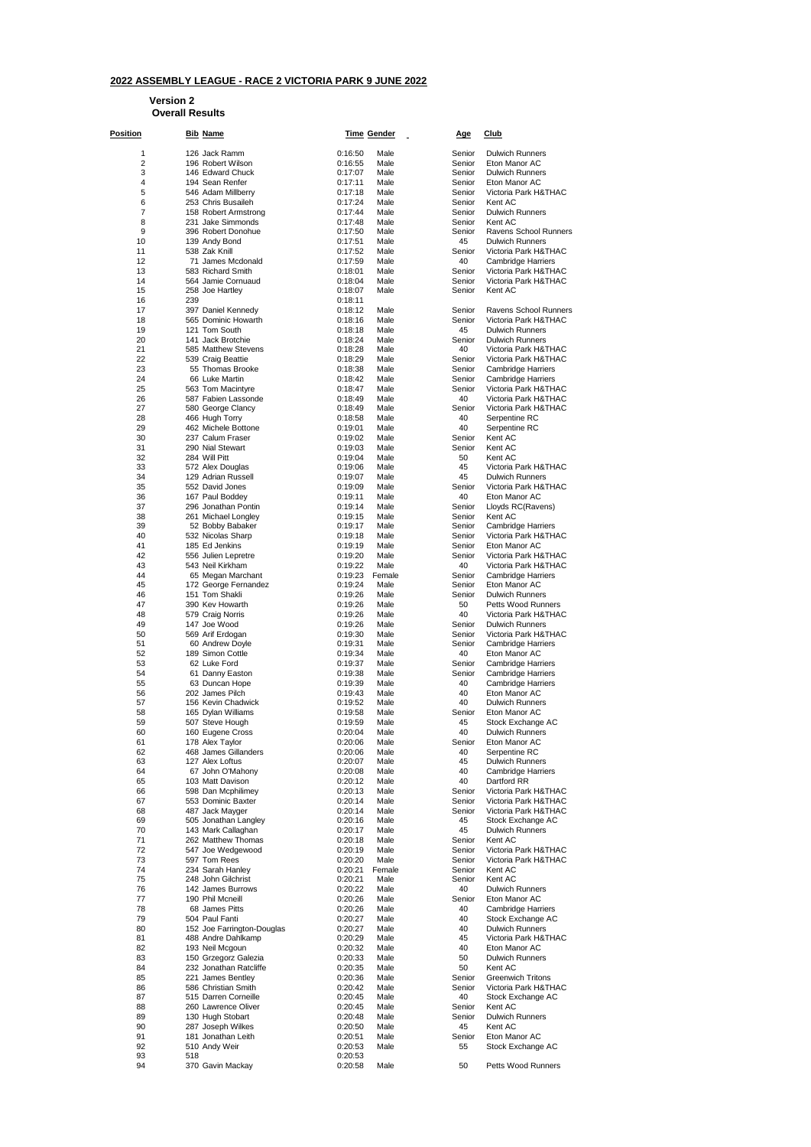## **2022 ASSEMBLY LEAGUE - RACE 2 VICTORIA PARK 9 JUNE 2022**

**Version 2**

## **Overall Results**

| <u>Position</u> |     | <u>Bib_Name</u>                                |                    | <u>Time Gender</u> | <u>Age</u>       | <u>Club</u>                                    |
|-----------------|-----|------------------------------------------------|--------------------|--------------------|------------------|------------------------------------------------|
| 1               |     | 126 Jack Ramm                                  | 0:16:50            | Male               | Senior           | <b>Dulwich Runners</b>                         |
| 2               |     | 196 Robert Wilson                              | 0:16:55            | Male               | Senior           | Eton Manor AC                                  |
| 3               |     | 146 Edward Chuck                               | 0:17:07            | Male               | Senior           | <b>Dulwich Runners</b>                         |
| 4<br>5          |     | 194 Sean Renfer                                | 0:17:11            | Male               | Senior           | Eton Manor AC                                  |
| 6               |     | 546 Adam Millberry<br>253 Chris Busaileh       | 0:17:18<br>0:17:24 | Male<br>Male       | Senior<br>Senior | Victoria Park H&THAC<br>Kent AC                |
| 7               |     | 158 Robert Armstrong                           | 0:17:44            | Male               | Senior           | <b>Dulwich Runners</b>                         |
| 8               |     | 231 Jake Simmonds                              | 0:17:48            | Male               | Senior           | Kent AC                                        |
| 9               |     | 396 Robert Donohue                             | 0:17:50            | Male               | Senior           | Ravens School Runners                          |
| 10<br>11        |     | 139 Andy Bond<br>538 Zak Knill                 | 0:17:51<br>0:17:52 | Male<br>Male       | 45<br>Senior     | <b>Dulwich Runners</b><br>Victoria Park H&THAC |
| 12              |     | 71 James Mcdonald                              | 0:17:59            | Male               | 40               | <b>Cambridge Harriers</b>                      |
| 13              |     | 583 Richard Smith                              | 0:18:01            | Male               | Senior           | Victoria Park H&THAC                           |
| 14              |     | 564 Jamie Cornuaud                             | 0:18:04            | Male               | Senior           | Victoria Park H&THAC                           |
| 15<br>16        | 239 | 258 Joe Hartley                                | 0:18:07<br>0:18:11 | Male               | Senior           | Kent AC                                        |
| 17              |     | 397 Daniel Kennedy                             | 0:18:12            | Male               | Senior           | Ravens School Runners                          |
| 18              |     | 565 Dominic Howarth                            | 0:18:16            | Male               | Senior           | Victoria Park H&THAC                           |
| 19              |     | 121 Tom South                                  | 0:18:18            | Male               | 45               | <b>Dulwich Runners</b>                         |
| 20              |     | 141 Jack Brotchie                              | 0:18:24            | Male               | Senior           | <b>Dulwich Runners</b>                         |
| 21<br>22        |     | 585 Matthew Stevens<br>539 Craig Beattie       | 0:18:28<br>0:18:29 | Male<br>Male       | 40<br>Senior     | Victoria Park H&THAC<br>Victoria Park H&THAC   |
| 23              |     | 55 Thomas Brooke                               | 0:18:38            | Male               | Senior           | <b>Cambridge Harriers</b>                      |
| 24              |     | 66 Luke Martin                                 | 0:18:42            | Male               | Senior           | <b>Cambridge Harriers</b>                      |
| 25              |     | 563 Tom Macintyre                              | 0:18:47            | Male               | Senior           | Victoria Park H&THAC                           |
| 26              |     | 587 Fabien Lassonde                            | 0:18:49            | Male               | 40               | Victoria Park H&THAC                           |
| 27<br>28        |     | 580 George Clancy<br>466 Hugh Torry            | 0:18:49<br>0:18:58 | Male<br>Male       | Senior<br>40     | Victoria Park H&THAC<br>Serpentine RC          |
| 29              |     | 462 Michele Bottone                            | 0:19:01            | Male               | 40               | Serpentine RC                                  |
| 30              |     | 237 Calum Fraser                               | 0:19:02            | Male               | Senior           | Kent AC                                        |
| 31              |     | 290 Nial Stewart                               | 0:19:03            | Male               | Senior           | Kent AC                                        |
| 32              |     | 284 Will Pitt                                  | 0:19:04            | Male               | 50               | Kent AC                                        |
| 33              |     | 572 Alex Douglas                               | 0:19:06            | Male<br>Male       | 45<br>45         | Victoria Park H&THAC                           |
| 34<br>35        |     | 129 Adrian Russell<br>552 David Jones          | 0:19:07<br>0:19:09 | Male               | Senior           | <b>Dulwich Runners</b><br>Victoria Park H&THAC |
| 36              |     | 167 Paul Boddey                                | 0:19:11            | Male               | 40               | Eton Manor AC                                  |
| 37              |     | 296 Jonathan Pontin                            | 0:19:14            | Male               | Senior           | Lloyds RC(Ravens)                              |
| 38              |     | 261 Michael Longley                            | 0:19:15            | Male               | Senior           | Kent AC                                        |
| 39              |     | 52 Bobby Babaker                               | 0:19:17            | Male               | Senior           | <b>Cambridge Harriers</b>                      |
| 40<br>41        |     | 532 Nicolas Sharp<br>185 Ed Jenkins            | 0:19:18<br>0:19:19 | Male<br>Male       | Senior<br>Senior | Victoria Park H&THAC<br>Eton Manor AC          |
| 42              |     | 556 Julien Lepretre                            | 0:19:20            | Male               | Senior           | Victoria Park H&THAC                           |
| 43              |     | 543 Neil Kirkham                               | 0:19:22            | Male               | 40               | Victoria Park H&THAC                           |
| 44              |     | 65 Megan Marchant                              | 0:19:23            | Female             | Senior           | <b>Cambridge Harriers</b>                      |
| 45              |     | 172 George Fernandez                           | 0:19:24            | Male               | Senior           | Eton Manor AC                                  |
| 46<br>47        |     | 151 Tom Shakli<br>390 Kev Howarth              | 0:19:26<br>0:19:26 | Male<br>Male       | Senior<br>50     | <b>Dulwich Runners</b><br>Petts Wood Runners   |
| 48              |     | 579 Craig Norris                               | 0:19:26            | Male               | 40               | Victoria Park H&THAC                           |
| 49              |     | 147 Joe Wood                                   | 0:19:26            | Male               | Senior           | <b>Dulwich Runners</b>                         |
| 50              |     | 569 Arif Erdogan                               | 0:19:30            | Male               | Senior           | Victoria Park H&THAC                           |
| 51              |     | 60 Andrew Doyle                                | 0:19:31            | Male               | Senior           | <b>Cambridge Harriers</b>                      |
| 52<br>53        |     | 189 Simon Cottle<br>62 Luke Ford               | 0:19:34<br>0:19:37 | Male<br>Male       | 40<br>Senior     | Eton Manor AC<br>Cambridge Harriers            |
| 54              |     | 61 Danny Easton                                | 0:19:38            | Male               | Senior           | <b>Cambridge Harriers</b>                      |
| 55              |     | 63 Duncan Hope                                 | 0:19:39            | Male               | 40               | Cambridge Harriers                             |
| 56              |     | 202 James Pilch                                | 0:19:43            | Male               | 40               | Eton Manor AC                                  |
| 57              |     | 156 Kevin Chadwick                             | 0:19:52            | Male               | 40               | <b>Dulwich Runners</b>                         |
| 58<br>59        |     | 165 Dylan Williams<br>507 Steve Hough          | 0:19:58<br>0:19:59 | Male<br>Male       | Senior<br>45     | Eton Manor AC<br>Stock Exchange AC             |
| 60              |     | 160 Eugene Cross                               | 0:20:04            | Male               | 40               | <b>Dulwich Runners</b>                         |
| 61              |     | 178 Alex Taylor                                | 0:20:06            | Male               | Senior           | Eton Manor AC                                  |
| 62              |     | 468 James Gillanders                           | 0:20:06            | Male               | 40               | Serpentine RC                                  |
| 63              |     | 127 Alex Loftus                                | 0:20:07            | Male               | 45               | Dulwich Runners                                |
| 64<br>65        |     | 67 John O'Mahony<br>103 Matt Davison           | 0:20:08<br>0:20:12 | Male<br>Male       | 40<br>40         | Cambridge Harriers<br>Dartford RR              |
| 66              |     | 598 Dan Mcphilimey                             | 0:20:13            | Male               | Senior           | Victoria Park H&THAC                           |
| 67              |     | 553 Dominic Baxter                             | 0:20:14            | Male               | Senior           | Victoria Park H&THAC                           |
| 68              |     | 487 Jack Mayger                                | 0:20:14            | Male               | Senior           | Victoria Park H&THAC                           |
| 69              |     | 505 Jonathan Langley                           | 0:20:16            | Male               | 45               | Stock Exchange AC                              |
| 70<br>71        |     | 143 Mark Callaghan<br>262 Matthew Thomas       | 0:20:17<br>0:20:18 | Male<br>Male       | 45<br>Senior     | <b>Dulwich Runners</b><br>Kent AC              |
| 72              |     | 547 Joe Wedgewood                              | 0:20:19            | Male               | Senior           | Victoria Park H&THAC                           |
| 73              |     | 597 Tom Rees                                   | 0:20:20            | Male               | Senior           | Victoria Park H&THAC                           |
| 74              |     | 234 Sarah Hanley                               | 0:20:21            | Female             | Senior           | Kent AC                                        |
| 75              |     | 248 John Gilchrist                             | 0:20:21            | Male               | Senior           | Kent AC                                        |
| 76<br>77        |     | 142 James Burrows<br>190 Phil Mcneill          | 0:20:22<br>0:20:26 | Male<br>Male       | 40<br>Senior     | Dulwich Runners<br>Eton Manor AC               |
| 78              |     | 68 James Pitts                                 | 0:20:26            | Male               | 40               | <b>Cambridge Harriers</b>                      |
| 79              |     | 504 Paul Fanti                                 | 0:20:27            | Male               | 40               | Stock Exchange AC                              |
| 80              |     | 152 Joe Farrington-Douglas                     | 0:20:27            | Male               | 40               | Dulwich Runners                                |
| 81              |     | 488 Andre Dahlkamp                             | 0:20:29            | Male               | 45               | Victoria Park H&THAC                           |
| 82              |     | 193 Neil Mcgoun                                | 0:20:32            | Male               | 40               | Eton Manor AC                                  |
| 83<br>84        |     | 150 Grzegorz Galezia<br>232 Jonathan Ratcliffe | 0:20:33<br>0:20:35 | Male<br>Male       | 50<br>50         | Dulwich Runners<br>Kent AC                     |
| 85              |     | 221 James Bentley                              | 0:20:36            | Male               | Senior           | <b>Greenwich Tritons</b>                       |
| 86              |     | 586 Christian Smith                            | 0:20:42            | Male               | Senior           | Victoria Park H&THAC                           |
| 87              |     | 515 Darren Corneille                           | 0:20:45            | Male               | 40               | Stock Exchange AC                              |
| 88              |     | 260 Lawrence Oliver                            | 0:20:45            | Male               | Senior           | Kent AC                                        |
| 89<br>90        |     | 130 Hugh Stobart<br>287 Joseph Wilkes          | 0:20:48<br>0:20:50 | Male<br>Male       | Senior<br>45     | Dulwich Runners<br>Kent AC                     |
| 91              |     | 181 Jonathan Leith                             | 0:20:51            | Male               | Senior           | Eton Manor AC                                  |
| 92              |     | 510 Andy Weir                                  | 0:20:53            | Male               | 55               | Stock Exchange AC                              |
| 93              | 518 |                                                | 0:20:53            |                    |                  |                                                |
| 94              |     | 370 Gavin Mackay                               | 0:20:58            | Male               | 50               | Petts Wood Runners                             |

| Senior           | <b>Dulwich Runners</b>                            |
|------------------|---------------------------------------------------|
| Senior           | Eton Manor AC                                     |
| Senior           | <b>Dulwich Runners</b>                            |
| senior<br>Senior | Eton Manor AC                                     |
| senior           | Victoria Park H&THAC<br>Kent AC                   |
| Senior           | <b>Dulwich Runners</b>                            |
| Senior           | Kent AC                                           |
| senior           | Ravens School Runners                             |
| 45               | <b>Dulwich Runners</b>                            |
| senior           | Victoria Park H&THAC                              |
| 40               | <b>Cambridge Harriers</b><br>Victoria Park H&THAC |
| senior<br>Senior | Victoria Park H&THAC                              |
| senior           | Kent AC                                           |
|                  |                                                   |
| Senior           | Ravens School Runners                             |
| Senior           | Victoria Park H&THAC                              |
| 45               | <b>Dulwich Runners</b>                            |
| senior<br>40     | <b>Dulwich Runners</b><br>Victoria Park H&THAC    |
| Senior           | Victoria Park H&THAC                              |
| Senior           | Cambridge Harriers                                |
| Senior           | <b>Cambridge Harriers</b>                         |
| Senior           | Victoria Park H&THAC                              |
| 40               | Victoria Park H&THAC                              |
| senior<br>40     | Victoria Park H&THAC<br>Serpentine RC             |
| 40               | Serpentine RC                                     |
| senior           | Kent AC                                           |
| senior           | Kent AC                                           |
| 50               | Kent AC                                           |
| 45               | Victoria Park H&THAC                              |
| 45               | <b>Dulwich Runners</b>                            |
| senior           | Victoria Park H&THAC                              |
| 40<br>Senior     | Eton Manor AC<br>Lloyds RC(Ravens)                |
| senior           | Kent AC                                           |
| senior           | Cambridge Harriers                                |
| Senior           | Victoria Park H&THAC                              |
| Senior           | Eton Manor AC                                     |
| senior           | Victoria Park H&THAC                              |
| 40               | Victoria Park H&THAC                              |
| senior<br>Senior | <b>Cambridge Harriers</b><br>Eton Manor AC        |
| senior           | <b>Dulwich Runners</b>                            |
| 50               | Petts Wood Runners                                |
| 40               | Victoria Park H&THAC                              |
| senior           | <b>Dulwich Runners</b>                            |
| senior<br>senior | Victoria Park H&THAC                              |
| 40               | Cambridge Harriers<br>Eton Manor AC               |
| senior           | Cambridge Harriers                                |
| Senior           | <b>Cambridge Harriers</b>                         |
| 40               | Cambridge Harriers                                |
| 40               | Eton Manor AC                                     |
| 40               | <b>Dulwich Runners</b>                            |
| senior<br>45     | Eton Manor AC<br>Stock Exchange AC                |
| 40               | Dulwich Runners                                   |
| senior           | Eton Manor AC                                     |
| 40               | Serpentine RC                                     |
| 45               | Dulwich Runners                                   |
| 40<br>40         | Cambridge Harriers<br>Dartford RR                 |
| senior           | Victoria Park H&THAC                              |
| Senior           | Victoria Park H&THAC                              |
| senior           | Victoria Park H&THAC                              |
| 45               | Stock Exchange AC                                 |
| 45               | <b>Dulwich Runners</b>                            |
| senior<br>senior | Kent AC<br>Victoria Park H&THAC                   |
| Senior           | Victoria Park H&THAC                              |
| Senior           | Kent AC                                           |
| }enior           | Kent AC                                           |
| 40               | <b>Dulwich Runners</b>                            |
| senior           | Eton Manor AC                                     |
| 40<br>40         | <b>Cambridge Harriers</b>                         |
| 40               | Stock Exchange AC<br><b>Dulwich Runners</b>       |
| 45               | Victoria Park H&THAC                              |
| 40               | Eton Manor AC                                     |
| 50               | <b>Dulwich Runners</b>                            |
| 50               | Kent AC                                           |
| Senior           | <b>Greenwich Tritons</b>                          |
| Senior<br>40     | Victoria Park H&THAC<br>Stock Exchange AC         |
| senior           | Kent AC                                           |
| Senior           | <b>Dulwich Runners</b>                            |
| 45               | Kent AC                                           |
| Senior           | Eton Manor AC                                     |
| 55               | Stock Exchange AC                                 |
|                  |                                                   |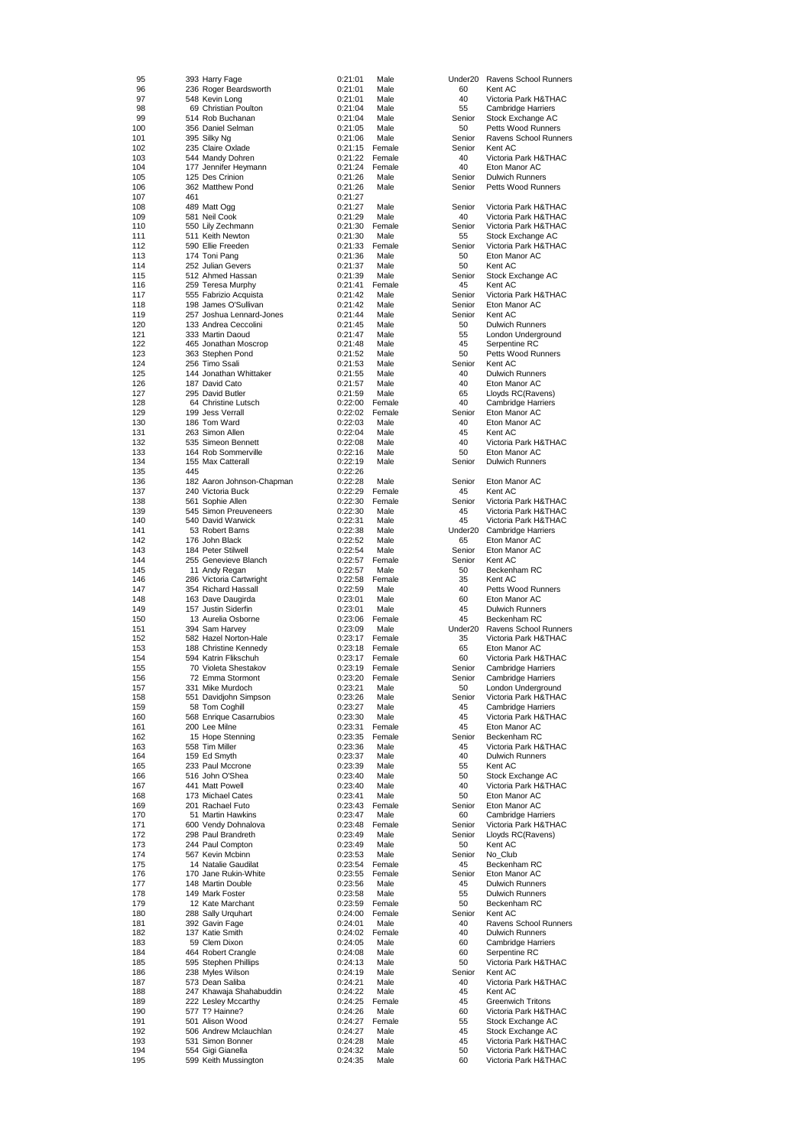| 95  |     | 393 Harry Fage            | 0:21:01 | Male   | Under <sub>20</sub> | Ravens School Runners     |
|-----|-----|---------------------------|---------|--------|---------------------|---------------------------|
| 96  |     | 236 Roger Beardsworth     | 0:21:01 | Male   | 60                  | Kent AC                   |
| 97  |     | 548 Kevin Long            | 0:21:01 | Male   | 40                  | Victoria Park H&THAC      |
| 98  |     | 69 Christian Poulton      | 0:21:04 | Male   | 55                  | <b>Cambridge Harriers</b> |
|     |     |                           | 0:21:04 |        | Senior              |                           |
| 99  |     | 514 Rob Buchanan          |         | Male   |                     | Stock Exchange AC         |
| 100 |     | 356 Daniel Selman         | 0:21:05 | Male   | 50                  | Petts Wood Runners        |
| 101 |     | 395 Silky Ng              | 0:21:06 | Male   | Senior              | Ravens School Runners     |
| 102 |     | 235 Claire Oxlade         | 0:21:15 | Female | Senior              | Kent AC                   |
| 103 |     | 544 Mandy Dohren          | 0:21:22 | Female | 40                  | Victoria Park H&THAC      |
| 104 |     | 177 Jennifer Heymann      | 0:21:24 | Female | 40                  | Eton Manor AC             |
| 105 |     | 125 Des Crinion           | 0:21:26 | Male   | Senior              | <b>Dulwich Runners</b>    |
| 106 |     | 362 Matthew Pond          | 0:21:26 | Male   | Senior              | Petts Wood Runners        |
| 107 | 461 |                           | 0:21:27 |        |                     |                           |
|     |     |                           |         |        |                     |                           |
| 108 |     | 489 Matt Ogg              | 0:21:27 | Male   | Senior              | Victoria Park H&THAC      |
| 109 |     | 581 Neil Cook             | 0:21:29 | Male   | 40                  | Victoria Park H&THAC      |
| 110 |     | 550 Lily Zechmann         | 0:21:30 | Female | Senior              | Victoria Park H&THAC      |
| 111 |     | 511 Keith Newton          | 0:21:30 | Male   | 55                  | Stock Exchange AC         |
| 112 |     | 590 Ellie Freeden         | 0:21:33 | Female | Senior              | Victoria Park H&THAC      |
| 113 |     | 174 Toni Pang             | 0:21:36 | Male   | 50                  | Eton Manor AC             |
| 114 |     | 252 Julian Gevers         | 0:21:37 | Male   | 50                  | Kent AC                   |
| 115 |     | 512 Ahmed Hassan          | 0:21:39 | Male   | Senior              | Stock Exchange AC         |
|     |     |                           |         |        |                     |                           |
| 116 |     | 259 Teresa Murphy         | 0:21:41 | Female | 45                  | Kent AC                   |
| 117 |     | 555 Fabrizio Acquista     | 0:21:42 | Male   | Senior              | Victoria Park H&THAC      |
| 118 |     | 198 James O'Sullivan      | 0:21:42 | Male   | Senior              | Eton Manor AC             |
| 119 |     | 257 Joshua Lennard-Jones  | 0:21:44 | Male   | Senior              | Kent AC                   |
| 120 |     | 133 Andrea Ceccolini      | 0:21:45 | Male   | 50                  | <b>Dulwich Runners</b>    |
| 121 |     | 333 Martin Daoud          | 0:21:47 | Male   | 55                  | London Underground        |
| 122 |     | 465 Jonathan Moscrop      | 0:21:48 | Male   | 45                  | Serpentine RC             |
| 123 |     | 363 Stephen Pond          | 0:21:52 | Male   | 50                  | Petts Wood Runners        |
| 124 |     | 256 Timo Ssali            | 0:21:53 | Male   | Senior              | Kent AC                   |
|     |     |                           |         |        |                     |                           |
| 125 |     | 144 Jonathan Whittaker    | 0:21:55 | Male   | 40                  | <b>Dulwich Runners</b>    |
| 126 |     | 187 David Cato            | 0:21:57 | Male   | 40                  | Eton Manor AC             |
| 127 |     | 295 David Butler          | 0:21:59 | Male   | 65                  | Lloyds RC(Ravens)         |
| 128 |     | 64 Christine Lutsch       | 0:22:00 | Female | 40                  | <b>Cambridge Harriers</b> |
| 129 |     | 199 Jess Verrall          | 0:22:02 | Female | Senior              | Eton Manor AC             |
| 130 |     | 186 Tom Ward              | 0:22:03 | Male   | 40                  | Eton Manor AC             |
|     |     |                           |         |        |                     |                           |
| 131 |     | 263 Simon Allen           | 0:22:04 | Male   | 45                  | Kent AC                   |
| 132 |     | 535 Simeon Bennett        | 0:22:08 | Male   | 40                  | Victoria Park H&THAC      |
| 133 |     | 164 Rob Sommerville       | 0:22:16 | Male   | 50                  | Eton Manor AC             |
| 134 |     | 155 Max Catterall         | 0:22:19 | Male   | Senior              | <b>Dulwich Runners</b>    |
| 135 | 445 |                           | 0:22:26 |        |                     |                           |
| 136 |     | 182 Aaron Johnson-Chapman | 0:22:28 | Male   | Senior              | Eton Manor AC             |
|     |     |                           |         |        |                     |                           |
| 137 |     | 240 Victoria Buck         | 0:22:29 | Female | 45                  | Kent AC                   |
| 138 |     | 561 Sophie Allen          | 0:22:30 | Female | Senior              | Victoria Park H&THAC      |
| 139 |     | 545 Simon Preuveneers     | 0:22:30 | Male   | 45                  | Victoria Park H&THAC      |
| 140 |     | 540 David Warwick         | 0:22:31 | Male   | 45                  | Victoria Park H&THAC      |
| 141 |     | 53 Robert Barns           | 0:22:38 | Male   | Under <sub>20</sub> | <b>Cambridge Harriers</b> |
| 142 |     | 176 John Black            | 0:22:52 | Male   | 65                  | Eton Manor AC             |
|     |     |                           |         |        |                     |                           |
| 143 |     | 184 Peter Stilwell        | 0:22:54 | Male   | Senior              | Eton Manor AC             |
| 144 |     | 255 Genevieve Blanch      | 0:22:57 | Female | Senior              | Kent AC                   |
| 145 |     | 11 Andy Regan             | 0:22:57 | Male   | 50                  | Beckenham RC              |
| 146 |     | 286 Victoria Cartwright   | 0:22:58 | Female | 35                  | Kent AC                   |
| 147 |     | 354 Richard Hassall       | 0:22:59 | Male   | 40                  | Petts Wood Runners        |
| 148 |     | 163 Dave Daugirda         | 0:23:01 | Male   | 60                  | Eton Manor AC             |
| 149 |     | 157 Justin Siderfin       | 0:23:01 | Male   | 45                  | <b>Dulwich Runners</b>    |
|     |     |                           |         |        |                     |                           |
| 150 |     | 13 Aurelia Osborne        | 0:23:06 | Female | 45                  | Beckenham RC              |
| 151 |     | 394 Sam Harvey            | 0:23:09 | Male   | Under <sub>20</sub> | Ravens School Runners     |
| 152 |     | 582 Hazel Norton-Hale     | 0:23:17 | Female | 35                  | Victoria Park H&THAC      |
| 153 |     | 188 Christine Kennedy     | 0:23:18 | Female | 65                  | Eton Manor AC             |
| 154 |     | 594 Katrin Flikschuh      | 0:23:17 | Female | 60                  | Victoria Park H&THAC      |
| 155 |     | 70 Violeta Shestakov      | 0:23:19 | Female | Senior              | <b>Cambridge Harriers</b> |
|     |     |                           |         |        |                     |                           |
| 156 |     | 72 Emma Stormont          | 0:23:20 | Female | Senior              | Cambridge Harriers        |
| 157 |     | 331 Mike Murdoch          | 0:23:21 | Male   | 50                  | London Underground        |
| 158 |     | 551 Davidjohn Simpson     | 0:23:26 | Male   | Senior              | Victoria Park H&THAC      |
| 159 |     | 58 Tom Coghill            | 0:23:27 | Male   | 45                  | <b>Cambridge Harriers</b> |
| 160 |     | 568 Enrique Casarrubios   | 0:23:30 | Male   | 45                  | Victoria Park H&THAC      |
| 161 |     | 200 Lee Milne             | 0:23:31 | Female | 45                  | Eton Manor AC             |
|     |     |                           |         |        |                     |                           |
| 162 |     | 15 Hope Stenning          | 0:23:35 | Female | Senior              | Beckenham RC              |
| 163 |     | 558 Tim Miller            | 0:23:36 | Male   | 45                  | Victoria Park H&THAC      |
| 164 |     | 159 Ed Smyth              | 0:23:37 | Male   | 40                  | <b>Dulwich Runners</b>    |
| 165 |     | 233 Paul Mccrone          | 0:23:39 | Male   | 55                  | Kent AC                   |
| 166 |     | 516 John O'Shea           | 0:23:40 | Male   | 50                  | Stock Exchange AC         |
| 167 |     | 441 Matt Powell           | 0:23:40 | Male   | 40                  | Victoria Park H&THAC      |
| 168 |     | 173 Michael Cates         | 0:23:41 | Male   | 50                  | Eton Manor AC             |
|     |     | 201 Rachael Futo          | 0:23:43 | Female |                     |                           |
| 169 |     |                           |         |        | Senior              | Eton Manor AC             |
| 170 |     | 51 Martin Hawkins         | 0:23:47 | Male   | 60                  | Cambridge Harriers        |
| 171 |     | 600 Vendy Dohnalova       | 0:23:48 | Female | Senior              | Victoria Park H&THAC      |
| 172 |     | 298 Paul Brandreth        | 0:23:49 | Male   | Senior              | Lloyds RC(Ravens)         |
| 173 |     | 244 Paul Compton          | 0:23:49 | Male   | 50                  | Kent AC                   |
| 174 |     | 567 Kevin Mcbinn          | 0:23:53 | Male   | Senior              | No_Club                   |
| 175 |     | 14 Natalie Gaudilat       | 0:23:54 | Female | 45                  | Beckenham RC              |
|     |     |                           |         |        |                     |                           |
| 176 |     | 170 Jane Rukin-White      | 0:23:55 | Female | Senior              | Eton Manor AC             |
| 177 |     | 148 Martin Double         | 0:23:56 | Male   | 45                  | <b>Dulwich Runners</b>    |
| 178 |     | 149 Mark Foster           | 0:23:58 | Male   | 55                  | <b>Dulwich Runners</b>    |
| 179 |     | 12 Kate Marchant          | 0:23:59 | Female | 50                  | Beckenham RC              |
| 180 |     | 288 Sally Urquhart        | 0:24:00 | Female | Senior              | Kent AC                   |
| 181 |     | 392 Gavin Fage            | 0:24:01 | Male   | 40                  | Ravens School Runners     |
|     |     |                           |         |        |                     |                           |
| 182 |     | 137 Katie Smith           | 0:24:02 | Female | 40                  | <b>Dulwich Runners</b>    |
| 183 |     | 59 Clem Dixon             | 0:24:05 | Male   | 60                  | <b>Cambridge Harriers</b> |
| 184 |     | 464 Robert Crangle        | 0:24:08 | Male   | 60                  | Serpentine RC             |
| 185 |     | 595 Stephen Phillips      | 0:24:13 | Male   | 50                  | Victoria Park H&THAC      |
| 186 |     | 238 Myles Wilson          | 0:24:19 | Male   | Senior              | Kent AC                   |
|     |     |                           |         |        |                     |                           |
| 187 |     | 573 Dean Saliba           | 0:24:21 | Male   | 40                  | Victoria Park H&THAC      |
| 188 |     | 247 Khawaja Shahabuddin   | 0:24:22 | Male   | 45                  | Kent AC                   |
| 189 |     | 222 Lesley Mccarthy       | 0:24:25 | Female | 45                  | <b>Greenwich Tritons</b>  |
| 190 |     | 577 T? Hainne?            | 0:24:26 | Male   | 60                  | Victoria Park H&THAC      |
| 191 |     | 501 Alison Wood           | 0:24:27 | Female | 55                  | Stock Exchange AC         |
|     |     |                           |         |        | 45                  | Stock Exchange AC         |
| 192 |     |                           |         |        |                     |                           |
|     |     | 506 Andrew Mclauchlan     | 0:24:27 | Male   |                     |                           |
| 193 |     | 531 Simon Bonner          | 0:24:28 | Male   | 45                  | Victoria Park H&THAC      |
| 194 |     | 554 Gigi Gianella         | 0:24:32 | Male   | 50                  | Victoria Park H&THAC      |
| 195 |     | 599 Keith Mussington      | 0:24:35 | Male   | 60                  | Victoria Park H&THAC      |

| Inder20          | Ravens School Runners                                                |
|------------------|----------------------------------------------------------------------|
| 60<br>40         | Kent AC<br>Victoria Park H&THAC                                      |
| 55               | Cambridge Harriers                                                   |
| Senior<br>50     | Stock Exchange AC<br>Petts Wood Runners                              |
| Senior           | Ravens School Runners                                                |
| Senior<br>40     | Kent AC<br>Victoria Park H&THAC                                      |
| 40               | Eton Manor AC                                                        |
| Senior<br>Senior | <b>Dulwich Runners</b><br>Petts Wood Runners                         |
|                  |                                                                      |
| Senior<br>40     | Victoria Park H&THAC<br>Victoria Park H&THAC                         |
| Senior           | Victoria Park H&THAC                                                 |
| 55<br>Senior     | Stock Exchange AC<br>Victoria Park H&THAC                            |
| 50               | Eton Manor AC                                                        |
| 50               | Kent AC                                                              |
| Senior<br>45     | Stock Exchange AC<br>Kent AC                                         |
| Senior           | Victoria Park H&THAC                                                 |
| Senior<br>Senior | Eton Manor AC<br>Kent AC                                             |
| 50               | <b>Dulwich Runners</b>                                               |
| 55<br>45         | London Underground<br>Serpentine RC                                  |
| 50               | Petts Wood Runners                                                   |
| Senior<br>40     | Kent AC<br><b>Dulwich Runners</b>                                    |
| 40               | Eton Manor AC                                                        |
| 65<br>40         | Lloyds RC(Ravens)<br>Cambridge Harriers                              |
| Senior           | Eton Manor AC                                                        |
| 40<br>45         | Eton Manor AC<br>Kent AC                                             |
| 40               | Victoria Park H&THAC                                                 |
| 50<br>Senior     | Eton Manor AC<br><b>Dulwich Runners</b>                              |
|                  |                                                                      |
| Senior<br>45     | Eton Manor AC<br>Kent AC                                             |
| Senior           | Victoria Park H&THAC                                                 |
| 45<br>45         | Victoria Park H&THAC<br>Victoria Park H&THAC                         |
| Inder20<br>65    | Cambridge Harriers<br>Eton Manor AC                                  |
| Senior           | Eton Manor AC                                                        |
| Senior<br>50     | Kent AC<br>Beckenham RC                                              |
| 35               | Kent AC                                                              |
| 40<br>60         | Petts Wood Runners<br>Eton Manor AC                                  |
| 45               | <b>Dulwich Runners</b>                                               |
| 45<br>Inder20    | Beckenham RC<br>Ravens School Runners                                |
| 35               | Victoria Park H&THAC                                                 |
| 65<br>60         | Eton Manor AC<br>Victoria Park H&THAC                                |
| Senior<br>Senior | Cambridge Harriers                                                   |
| 50               | Cambridge Harriers<br>London Underground                             |
| Senior<br>45     | Victoria Park H&THAC                                                 |
| 45               | Cambridge Harriers<br>Victoria Park H&THAC                           |
| 45<br>Senior     | Eton Manor AC<br>Beckenham RC                                        |
| 45               | Victoria Park H&THAC                                                 |
| 40<br>55         | <b>Dulwich Runners</b><br>Kent AC                                    |
| 50               | Stock Exchange AC                                                    |
| 40<br>50         | Victoria Park H&THAC<br>Eton Manor AC                                |
| Senior           | Eton Manor AC                                                        |
| 60<br>Senior     | Cambridge Harriers<br>Victoria Park H&THAC                           |
| Senior           | Lloyds RC(Ravens)                                                    |
| 50               |                                                                      |
| Senior           | Kent AC<br>No_Club                                                   |
| 45               | Beckenham RC                                                         |
| Senior<br>45     | Eton Manor AC<br><b>Dulwich Runners</b>                              |
| 55               | <b>Dulwich Runners</b>                                               |
| 50<br>Senior     | Beckenham RC<br>Kent AC                                              |
| 40               | Ravens School Runners                                                |
| 40<br>60         | <b>Dulwich Runners</b><br>Cambridge Harriers                         |
| 60<br>50         | Serpentine RC<br>Victoria Park H&THAC                                |
| Senior           | Kent AC                                                              |
| 40<br>45         | Victoria Park H&THAC<br>Kent AC                                      |
| 45               | <b>Greenwich Tritons</b>                                             |
| 60<br>55         | Victoria Park H&THAC<br>Stock Exchange AC                            |
| 45               | Stock Exchange AC                                                    |
| 45<br>50<br>60   | Victoria Park H&THAC<br>Victoria Park H&THAC<br>Victoria Park H&THAC |